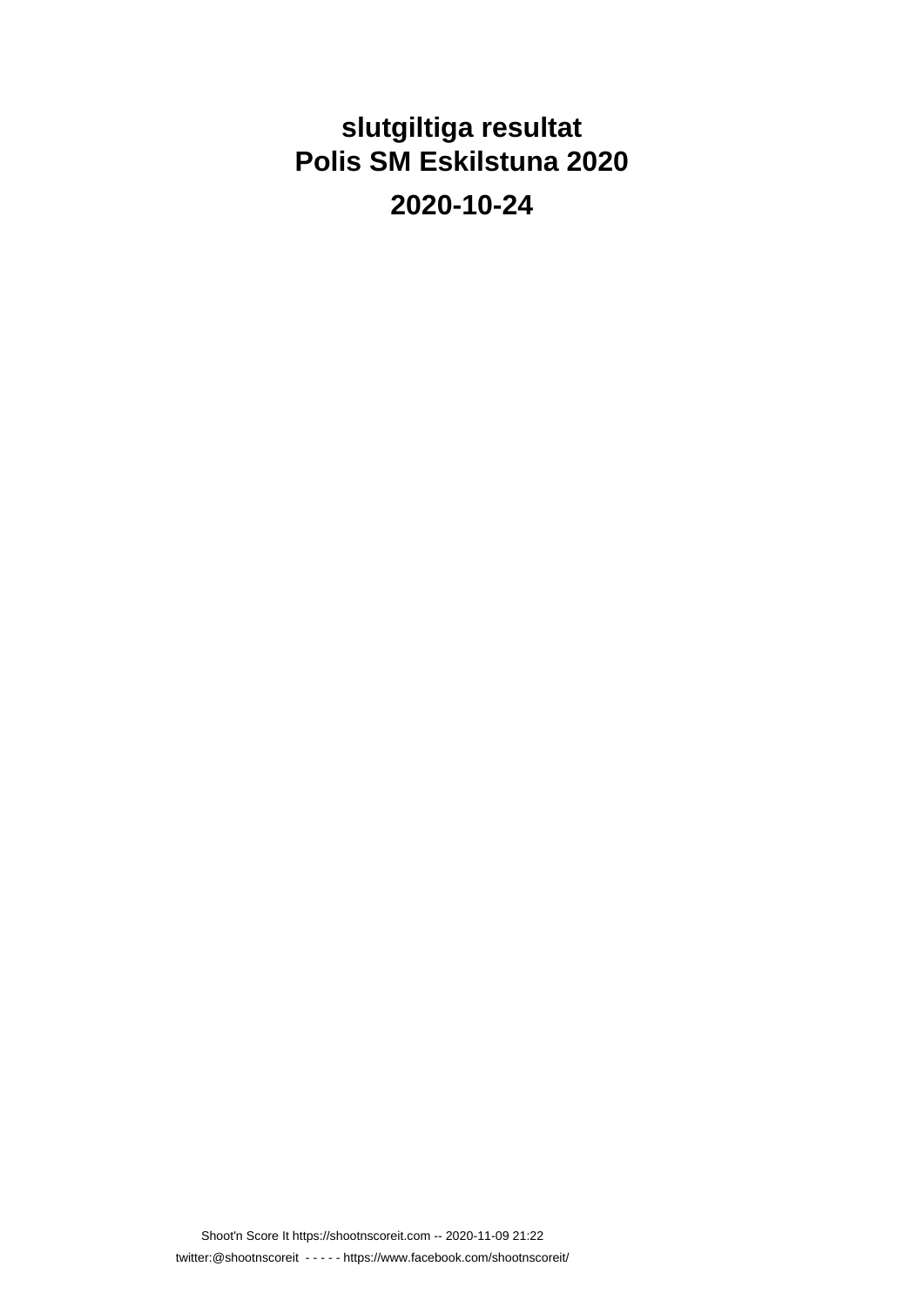# **slutgiltiga resultat Polis SM Eskilstuna 2020**

**2020-10-24**

Shoot'n Score It https://shootnscoreit.com -- 2020-11-09 21:22 twitter:@shootnscoreit - - - - - https://www.facebook.com/shootnscoreit/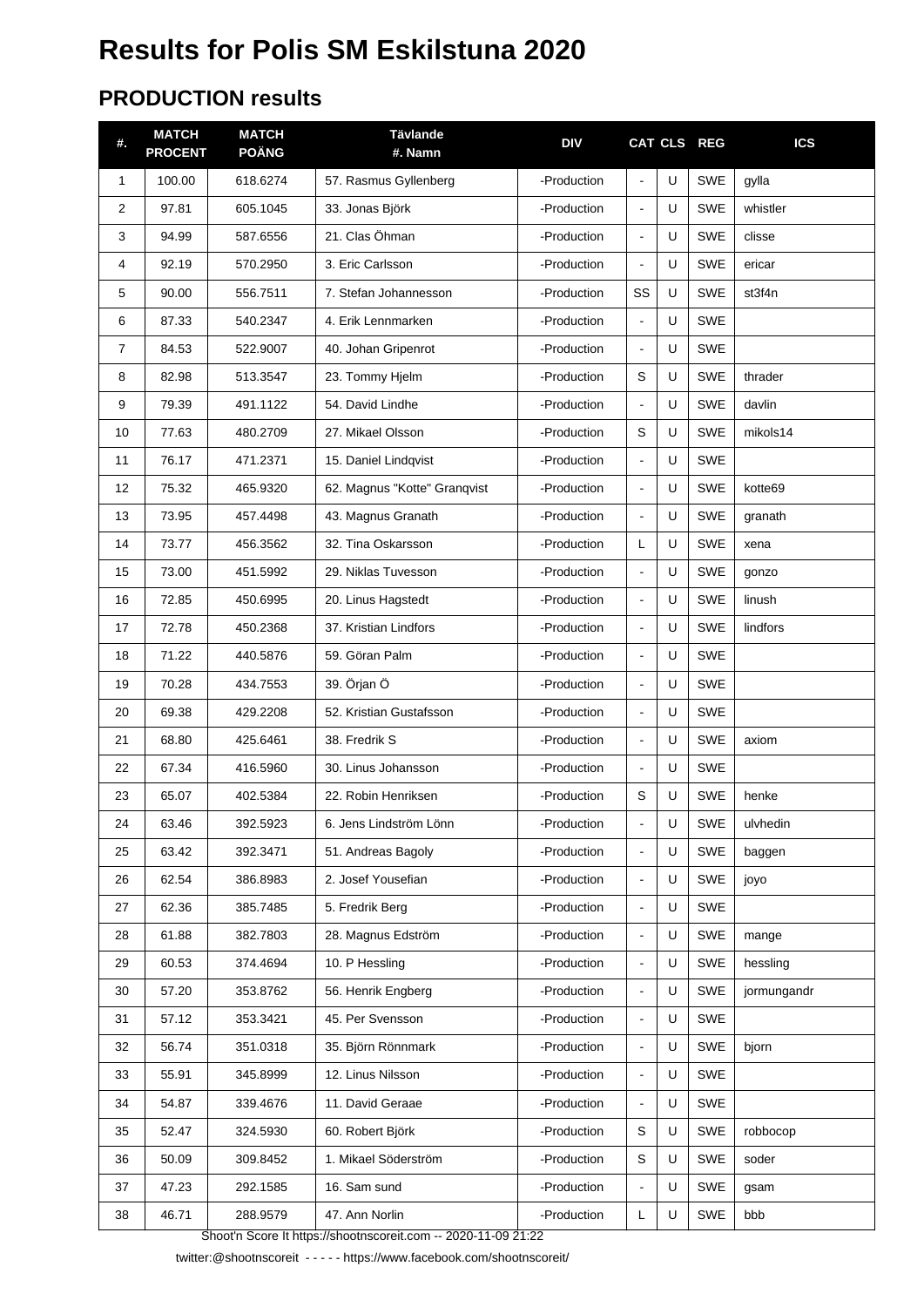## **Results for Polis SM Eskilstuna 2020**

#### **PRODUCTION results**

| #.             | <b>MATCH</b><br><b>PROCENT</b> | <b>MATCH</b><br><b>POÄNG</b> | <b>Tävlande</b><br>#. Namn   | <b>DIV</b>  |                |   | CAT CLS REG | <b>ICS</b>  |
|----------------|--------------------------------|------------------------------|------------------------------|-------------|----------------|---|-------------|-------------|
| $\mathbf{1}$   | 100.00                         | 618.6274                     | 57. Rasmus Gyllenberg        | -Production | $\blacksquare$ | U | <b>SWE</b>  | gylla       |
| 2              | 97.81                          | 605.1045                     | 33. Jonas Björk              | -Production | $\blacksquare$ | U | <b>SWE</b>  | whistler    |
| 3              | 94.99                          | 587.6556                     | 21. Clas Öhman               | -Production | $\blacksquare$ | U | <b>SWE</b>  | clisse      |
| 4              | 92.19                          | 570.2950                     | 3. Eric Carlsson             | -Production | $\blacksquare$ | U | <b>SWE</b>  | ericar      |
| 5              | 90.00                          | 556.7511                     | 7. Stefan Johannesson        | -Production | SS             | U | <b>SWE</b>  | st3f4n      |
| 6              | 87.33                          | 540.2347                     | 4. Erik Lennmarken           | -Production | $\blacksquare$ | U | <b>SWE</b>  |             |
| $\overline{7}$ | 84.53                          | 522.9007                     | 40. Johan Gripenrot          | -Production | $\blacksquare$ | U | <b>SWE</b>  |             |
| 8              | 82.98                          | 513.3547                     | 23. Tommy Hjelm              | -Production | S              | U | <b>SWE</b>  | thrader     |
| 9              | 79.39                          | 491.1122                     | 54. David Lindhe             | -Production | $\blacksquare$ | U | <b>SWE</b>  | davlin      |
| 10             | 77.63                          | 480.2709                     | 27. Mikael Olsson            | -Production | S              | U | <b>SWE</b>  | mikols14    |
| 11             | 76.17                          | 471.2371                     | 15. Daniel Lindqvist         | -Production | $\blacksquare$ | U | <b>SWE</b>  |             |
| 12             | 75.32                          | 465.9320                     | 62. Magnus "Kotte" Granqvist | -Production | $\blacksquare$ | U | <b>SWE</b>  | kotte69     |
| 13             | 73.95                          | 457.4498                     | 43. Magnus Granath           | -Production | $\blacksquare$ | U | <b>SWE</b>  | granath     |
| 14             | 73.77                          | 456.3562                     | 32. Tina Oskarsson           | -Production | L              | U | <b>SWE</b>  | xena        |
| 15             | 73.00                          | 451.5992                     | 29. Niklas Tuvesson          | -Production | $\blacksquare$ | U | <b>SWE</b>  | gonzo       |
| 16             | 72.85                          | 450.6995                     | 20. Linus Hagstedt           | -Production | $\blacksquare$ | U | <b>SWE</b>  | linush      |
| 17             | 72.78                          | 450.2368                     | 37. Kristian Lindfors        | -Production | $\blacksquare$ | U | <b>SWE</b>  | lindfors    |
| 18             | 71.22                          | 440.5876                     | 59. Göran Palm               | -Production | $\blacksquare$ | U | <b>SWE</b>  |             |
| 19             | 70.28                          | 434.7553                     | 39. Örjan Ö                  | -Production | $\blacksquare$ | U | <b>SWE</b>  |             |
| 20             | 69.38                          | 429.2208                     | 52. Kristian Gustafsson      | -Production | $\blacksquare$ | U | <b>SWE</b>  |             |
| 21             | 68.80                          | 425.6461                     | 38. Fredrik S                | -Production | $\blacksquare$ | U | <b>SWE</b>  | axiom       |
| 22             | 67.34                          | 416.5960                     | 30. Linus Johansson          | -Production | $\blacksquare$ | U | <b>SWE</b>  |             |
| 23             | 65.07                          | 402.5384                     | 22. Robin Henriksen          | -Production | S              | U | SWE         | henke       |
| 24             | 63.46                          | 392.5923                     | 6. Jens Lindström Lönn       | -Production | $\blacksquare$ | U | SWE         | ulvhedin    |
| 25             | 63.42                          | 392.3471                     | 51. Andreas Bagoly           | -Production | $\blacksquare$ | U | SWE         | baggen      |
| 26             | 62.54                          | 386.8983                     | 2. Josef Yousefian           | -Production | $\blacksquare$ | U | SWE         | joyo        |
| 27             | 62.36                          | 385.7485                     | 5. Fredrik Berg              | -Production | $\blacksquare$ | U | SWE         |             |
| 28             | 61.88                          | 382.7803                     | 28. Magnus Edström           | -Production | $\blacksquare$ | U | SWE         | mange       |
| 29             | 60.53                          | 374.4694                     | 10. P Hessling               | -Production | $\blacksquare$ | U | SWE         | hessling    |
| 30             | 57.20                          | 353.8762                     | 56. Henrik Engberg           | -Production | $\blacksquare$ | U | SWE         | jormungandr |
| 31             | 57.12                          | 353.3421                     | 45. Per Svensson             | -Production | $\blacksquare$ | U | SWE         |             |
| 32             | 56.74                          | 351.0318                     | 35. Björn Rönnmark           | -Production | $\blacksquare$ | U | SWE         | bjorn       |
| 33             | 55.91                          | 345.8999                     | 12. Linus Nilsson            | -Production | $\blacksquare$ | U | SWE         |             |
| 34             | 54.87                          | 339.4676                     | 11. David Geraae             | -Production |                | U | SWE         |             |
| 35             | 52.47                          | 324.5930                     | 60. Robert Björk             | -Production | S              | U | SWE         | robbocop    |
| 36             | 50.09                          | 309.8452                     | 1. Mikael Söderström         | -Production | S              | U | SWE         | soder       |
| 37             | 47.23                          | 292.1585                     | 16. Sam sund                 | -Production |                | U | SWE         | gsam        |
| 38             | 46.71                          | 288.9579                     | 47. Ann Norlin               | -Production | L              | U | SWE         | bbb         |
|                |                                |                              |                              |             |                |   |             |             |

Shoot'n Score It https://shootnscoreit.com -- 2020-11-09 21:22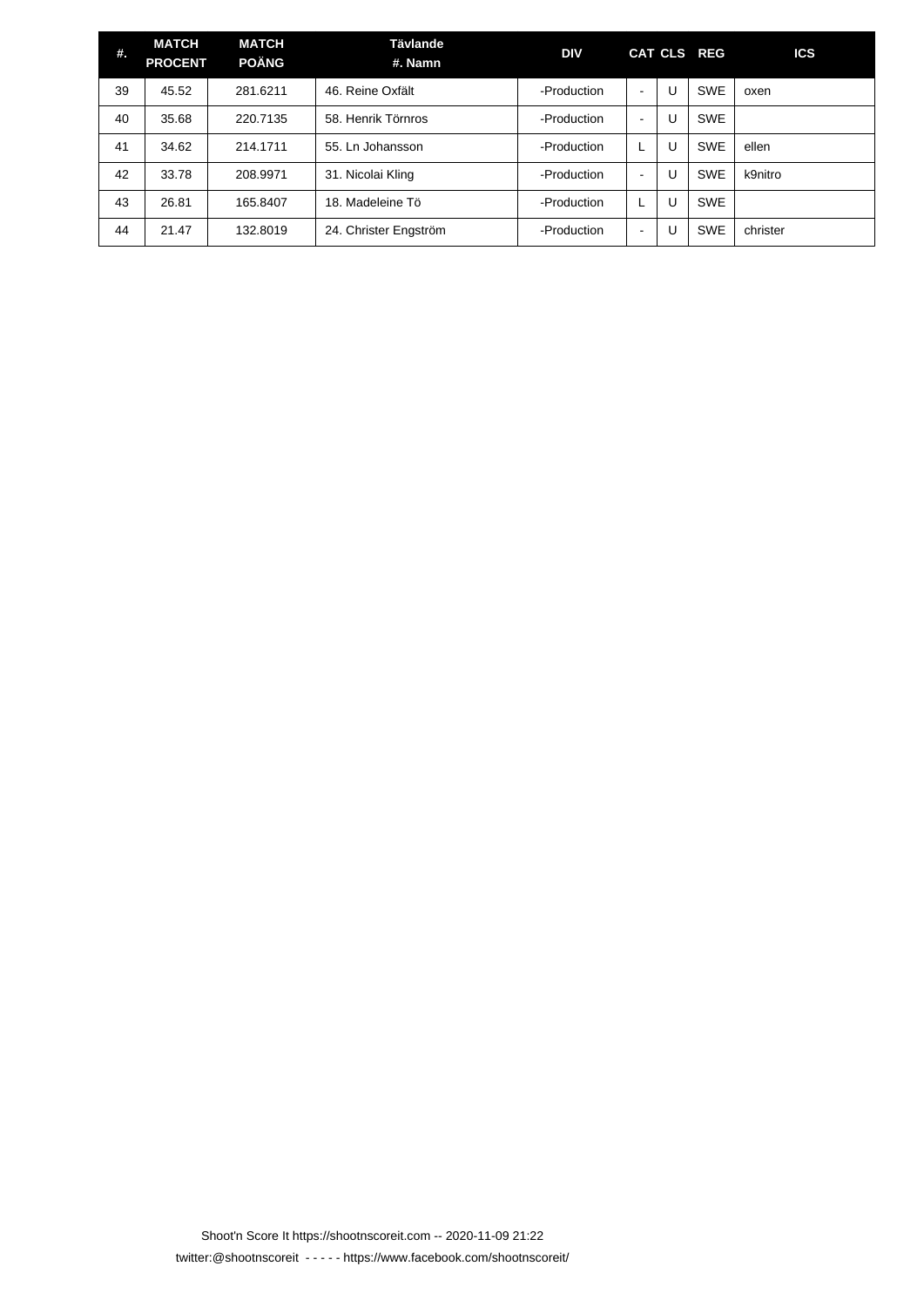| #. | <b>MATCH</b><br><b>PROCENT</b> | <b>MATCH</b><br><b>POÄNG</b> | Tävlande<br>#. Namn   | DIV         |                |   | CAT CLS REG | <b>ICS</b> |
|----|--------------------------------|------------------------------|-----------------------|-------------|----------------|---|-------------|------------|
| 39 | 45.52                          | 281.6211                     | 46. Reine Oxfält      | -Production | ۰              | U | <b>SWE</b>  | oxen       |
| 40 | 35.68                          | 220.7135                     | 58. Henrik Törnros    | -Production | $\,$ $\,$      | U | <b>SWE</b>  |            |
| 41 | 34.62                          | 214.1711                     | 55. Ln Johansson      | -Production | L              | U | <b>SWE</b>  | ellen      |
| 42 | 33.78                          | 208.9971                     | 31. Nicolai Kling     | -Production | $\,$ $\,$      | U | <b>SWE</b>  | k9nitro    |
| 43 | 26.81                          | 165.8407                     | 18. Madeleine Tö      | -Production | L              | U | <b>SWE</b>  |            |
| 44 | 21.47                          | 132.8019                     | 24. Christer Engström | -Production | $\blacksquare$ | U | <b>SWE</b>  | christer   |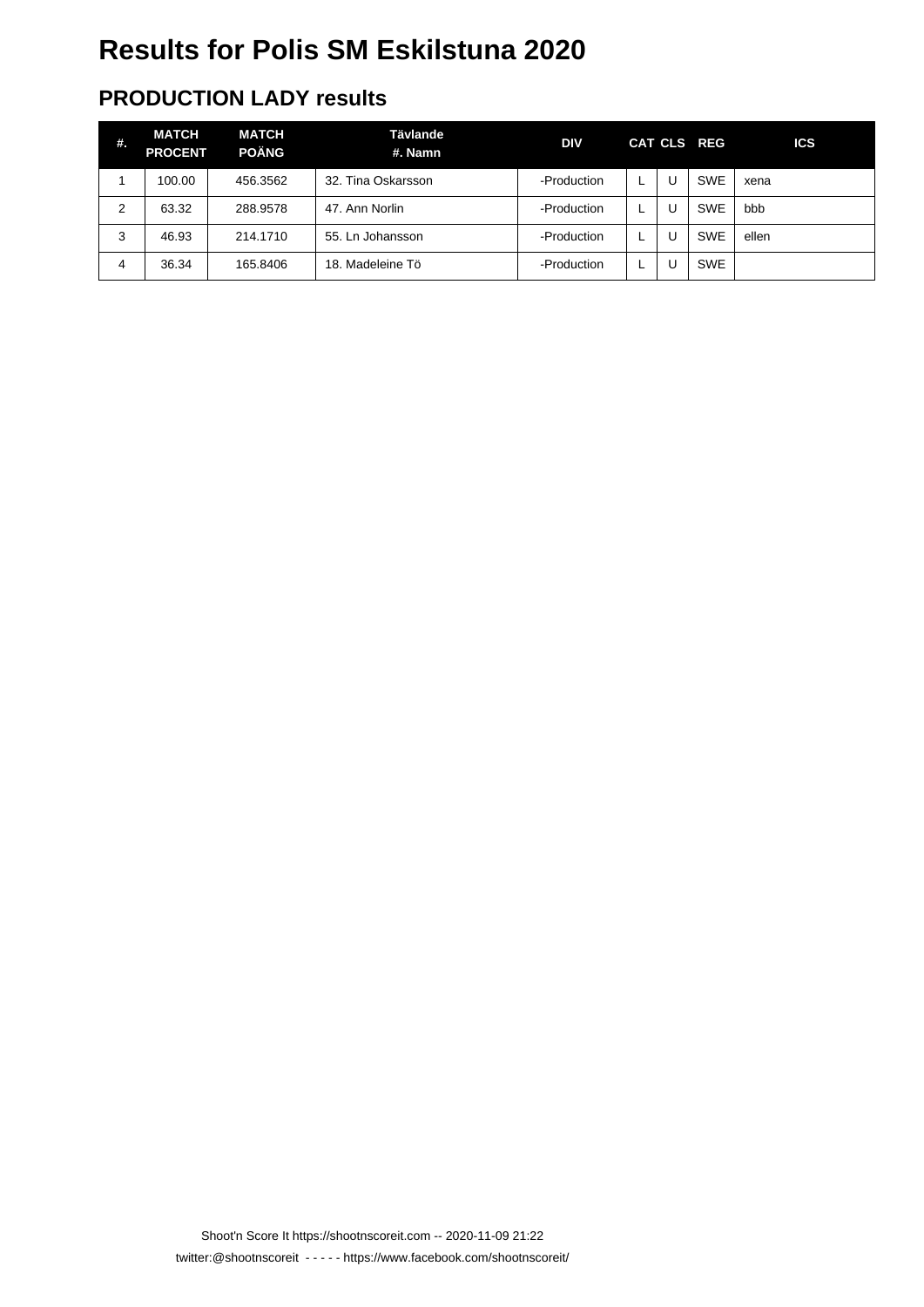## **Results for Polis SM Eskilstuna 2020**

#### **PRODUCTION LADY results**

| #.             | <b>MATCH</b><br><b>PROCENT</b> | <b>MATCH</b><br><b>POÄNG</b> | Tävlande<br>#. Namn | <b>DIV</b>  |   |   | CAT CLS REG | <b>ICS</b> |
|----------------|--------------------------------|------------------------------|---------------------|-------------|---|---|-------------|------------|
|                | 100.00                         | 456.3562                     | 32. Tina Oskarsson  | -Production |   | U | <b>SWE</b>  | xena       |
| $\overline{2}$ | 63.32                          | 288.9578                     | 47. Ann Norlin      | -Production | L | U | <b>SWE</b>  | bbb        |
| 3              | 46.93                          | 214.1710                     | 55. Ln Johansson    | -Production |   | U | <b>SWE</b>  | ellen      |
| 4              | 36.34                          | 165.8406                     | 18. Madeleine Tö    | -Production | ┕ | U | <b>SWE</b>  |            |

Shoot'n Score It https://shootnscoreit.com -- 2020-11-09 21:22